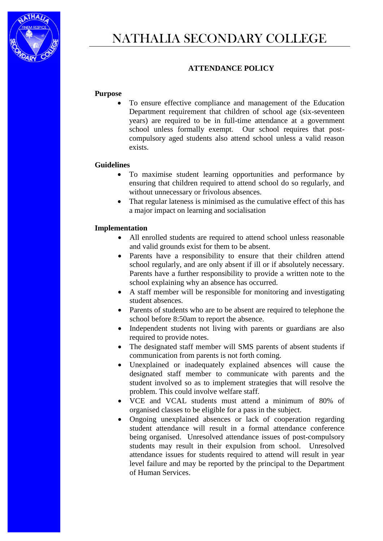

# NATHALIA SECONDARY COLLEGE

## **ATTENDANCE POLICY**

#### **Purpose**

 To ensure effective compliance and management of the Education Department requirement that children of school age (six-seventeen years) are required to be in full-time attendance at a government school unless formally exempt. Our school requires that postcompulsory aged students also attend school unless a valid reason exists.

#### **Guidelines**

- To maximise student learning opportunities and performance by ensuring that children required to attend school do so regularly, and without unnecessary or frivolous absences.
- That regular lateness is minimised as the cumulative effect of this has a major impact on learning and socialisation

#### **Implementation**

- All enrolled students are required to attend school unless reasonable and valid grounds exist for them to be absent.
- Parents have a responsibility to ensure that their children attend school regularly, and are only absent if ill or if absolutely necessary. Parents have a further responsibility to provide a written note to the school explaining why an absence has occurred.
- A staff member will be responsible for monitoring and investigating student absences.
- Parents of students who are to be absent are required to telephone the school before 8:50am to report the absence.
- Independent students not living with parents or guardians are also required to provide notes.
- The designated staff member will SMS parents of absent students if communication from parents is not forth coming.
- Unexplained or inadequately explained absences will cause the designated staff member to communicate with parents and the student involved so as to implement strategies that will resolve the problem. This could involve welfare staff.
- VCE and VCAL students must attend a minimum of 80% of organised classes to be eligible for a pass in the subject.
- Ongoing unexplained absences or lack of cooperation regarding student attendance will result in a formal attendance conference being organised. Unresolved attendance issues of post-compulsory students may result in their expulsion from school. Unresolved attendance issues for students required to attend will result in year level failure and may be reported by the principal to the Department of Human Services.